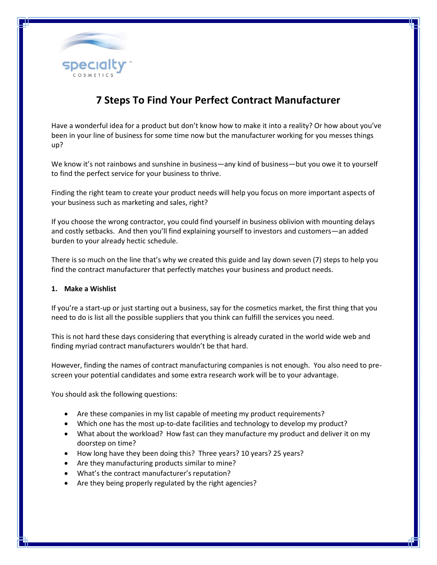

# **7 Steps To Find Your Perfect Contract Manufacturer**

Have a wonderful idea for a product but don't know how to make it into a reality? Or how about you've been in your line of business for some time now but the manufacturer working for you messes things up?

We know it's not rainbows and sunshine in business—any kind of business—but you owe it to yourself to find the perfect service for your business to thrive.

Finding the right team to create your product needs will help you focus on more important aspects of your business such as marketing and sales, right?

If you choose the wrong contractor, you could find yourself in business oblivion with mounting delays and costly setbacks. And then you'll find explaining yourself to investors and customers—an added burden to your already hectic schedule.

There is so much on the line that's why we created this guide and lay down seven (7) steps to help you find the contract manufacturer that perfectly matches your business and product needs.

## **1. Make a Wishlist**

If you're a start-up or just starting out a business, say for the cosmetics market, the first thing that you need to do is list all the possible suppliers that you think can fulfill the services you need.

This is not hard these days considering that everything is already curated in the world wide web and finding myriad contract manufacturers wouldn't be that hard.

However, finding the names of contract manufacturing companies is not enough. You also need to prescreen your potential candidates and some extra research work will be to your advantage.

You should ask the following questions:

- Are these companies in my list capable of meeting my product requirements?
- Which one has the most up-to-date facilities and technology to develop my product?
- What about the workload? How fast can they manufacture my product and deliver it on my doorstep on time?
- How long have they been doing this? Three years? 10 years? 25 years?
- Are they manufacturing products similar to mine?
- What's the contract manufacturer's reputation?
- Are they being properly regulated by the right agencies?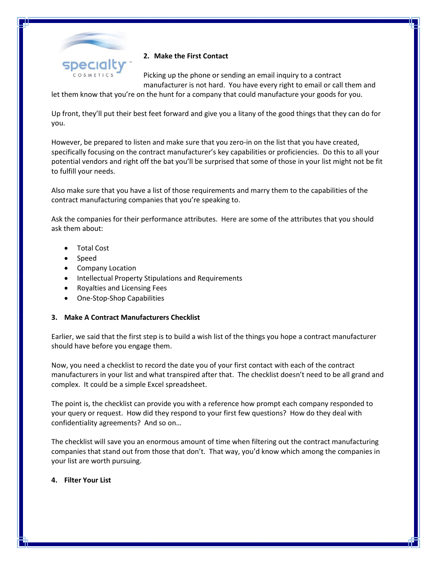

## **2. Make the First Contact**

Picking up the phone or sending an email inquiry to a contract manufacturer is not hard. You have every right to email or call them and

let them know that you're on the hunt for a company that could manufacture your goods for you.

Up front, they'll put their best feet forward and give you a litany of the good things that they can do for you.

However, be prepared to listen and make sure that you zero-in on the list that you have created, specifically focusing on the contract manufacturer's key capabilities or proficiencies. Do this to all your potential vendors and right off the bat you'll be surprised that some of those in your list might not be fit to fulfill your needs.

Also make sure that you have a list of those requirements and marry them to the capabilities of the contract manufacturing companies that you're speaking to.

Ask the companies for their performance attributes. Here are some of the attributes that you should ask them about:

- Total Cost
- Speed
- Company Location
- Intellectual Property Stipulations and Requirements
- Royalties and Licensing Fees
- One-Stop-Shop Capabilities

## **3. Make A Contract Manufacturers Checklist**

Earlier, we said that the first step is to build a wish list of the things you hope a contract manufacturer should have before you engage them.

Now, you need a checklist to record the date you of your first contact with each of the contract manufacturers in your list and what transpired after that. The checklist doesn't need to be all grand and complex. It could be a simple Excel spreadsheet.

The point is, the checklist can provide you with a reference how prompt each company responded to your query or request. How did they respond to your first few questions? How do they deal with confidentiality agreements? And so on…

The checklist will save you an enormous amount of time when filtering out the contract manufacturing companies that stand out from those that don't. That way, you'd know which among the companies in your list are worth pursuing.

#### **4. Filter Your List**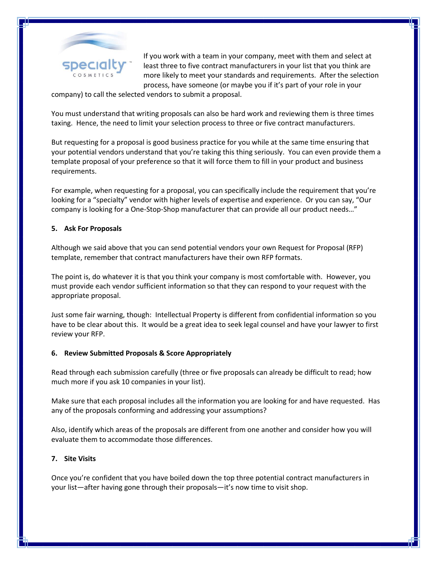

If you work with a team in your company, meet with them and select at least three to five contract manufacturers in your list that you think are more likely to meet your standards and requirements. After the selection process, have someone (or maybe you if it's part of your role in your

company) to call the selected vendors to submit a proposal.

You must understand that writing proposals can also be hard work and reviewing them is three times taxing. Hence, the need to limit your selection process to three or five contract manufacturers.

But requesting for a proposal is good business practice for you while at the same time ensuring that your potential vendors understand that you're taking this thing seriously. You can even provide them a template proposal of your preference so that it will force them to fill in your product and business requirements.

For example, when requesting for a proposal, you can specifically include the requirement that you're looking for a "specialty" vendor with higher levels of expertise and experience. Or you can say, "Our company is looking for a One-Stop-Shop manufacturer that can provide all our product needs…"

## **5. Ask For Proposals**

Although we said above that you can send potential vendors your own Request for Proposal (RFP) template, remember that contract manufacturers have their own RFP formats.

The point is, do whatever it is that you think your company is most comfortable with. However, you must provide each vendor sufficient information so that they can respond to your request with the appropriate proposal.

Just some fair warning, though: Intellectual Property is different from confidential information so you have to be clear about this. It would be a great idea to seek legal counsel and have your lawyer to first review your RFP.

## **6. Review Submitted Proposals & Score Appropriately**

Read through each submission carefully (three or five proposals can already be difficult to read; how much more if you ask 10 companies in your list).

Make sure that each proposal includes all the information you are looking for and have requested. Has any of the proposals conforming and addressing your assumptions?

Also, identify which areas of the proposals are different from one another and consider how you will evaluate them to accommodate those differences.

#### **7. Site Visits**

Once you're confident that you have boiled down the top three potential contract manufacturers in your list—after having gone through their proposals—it's now time to visit shop.